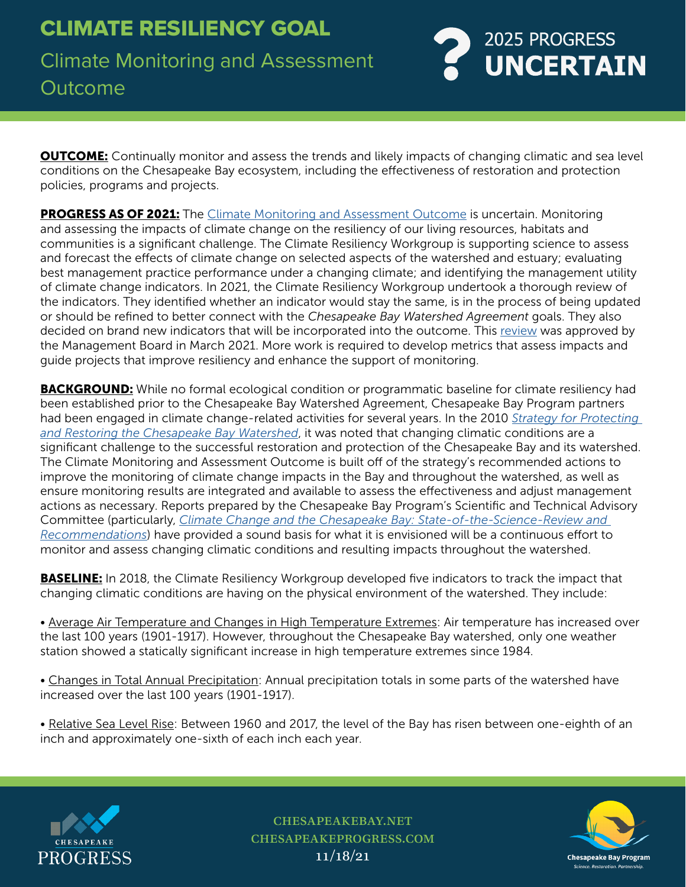

**OUTCOME:** Continually monitor and assess the trends and likely impacts of changing climatic and sea level conditions on the Chesapeake Bay ecosystem, including the effectiveness of restoration and protection policies, programs and projects.

**PROGRESS AS OF 2021:** The [Climate Monitoring and Assessment Outcome](https://www.chesapeakeprogress.com/climate-change/climate-monitoring-and-assessment) is uncertain. Monitoring and assessing the impacts of climate change on the resiliency of our living resources, habitats and communities is a significant challenge. The Climate Resiliency Workgroup is supporting science to assess and forecast the effects of climate change on selected aspects of the watershed and estuary; evaluating best management practice performance under a changing climate; and identifying the management utility of climate change indicators. In 2021, the Climate Resiliency Workgroup undertook a thorough review of the indicators. They identified whether an indicator would stay the same, is in the process of being updated or should be refined to better connect with the *Chesapeake Bay Watershed Agreement* goals. They also decided on brand new indicators that will be incorporated into the outcome. This [review](https://www.chesapeakebay.net/channel_files/41938/list_of_climate_change_indicators_for_mgmt_board_discussion_final.pdf) was approved by the Management Board in March 2021. More work is required to develop metrics that assess impacts and guide projects that improve resiliency and enhance the support of monitoring.

**BACKGROUND:** While no formal ecological condition or programmatic baseline for climate resiliency had been established prior to the Chesapeake Bay Watershed Agreement, Chesapeake Bay Program partners had been engaged in climate change-related activities for several years. In the 2010 *[Strategy for Protecting](https://nepis.epa.gov/Exe/ZyPURL.cgi?Dockey=P100MBPD.TXT)  [and Restoring the Chesapeake Bay Watershed](https://nepis.epa.gov/Exe/ZyPURL.cgi?Dockey=P100MBPD.TXT)*, it was noted that changing climatic conditions are a significant challenge to the successful restoration and protection of the Chesapeake Bay and its watershed. The Climate Monitoring and Assessment Outcome is built off of the strategy's recommended actions to improve the monitoring of climate change impacts in the Bay and throughout the watershed, as well as ensure monitoring results are integrated and available to assess the effectiveness and adjust management actions as necessary. Reports prepared by the Chesapeake Bay Program's Scientific and Technical Advisory Committee (particularly, *[Climate Change and the Chesapeake Bay: State-of-the-Science-Review and](http://www.chesapeake.org/stac/Pubs/climchangereport.pdf)  [Recommendations](http://www.chesapeake.org/stac/Pubs/climchangereport.pdf)*) have provided a sound basis for what it is envisioned will be a continuous effort to monitor and assess changing climatic conditions and resulting impacts throughout the watershed.

**BASELINE:** In 2018, the Climate Resiliency Workgroup developed five indicators to track the impact that changing climatic conditions are having on the physical environment of the watershed. They include:

• Average Air Temperature and Changes in High Temperature Extremes: Air temperature has increased over the last 100 years (1901-1917). However, throughout the Chesapeake Bay watershed, only one weather station showed a statically significant increase in high temperature extremes since 1984.

• Changes in Total Annual Precipitation: Annual precipitation totals in some parts of the watershed have increased over the last 100 years (1901-1917).

• Relative Sea Level Rise: Between 1960 and 2017, the level of the Bay has risen between one-eighth of an inch and approximately one-sixth of each inch each year.



chesapeakebay.net chesapeakeprogress.com 11/18/21